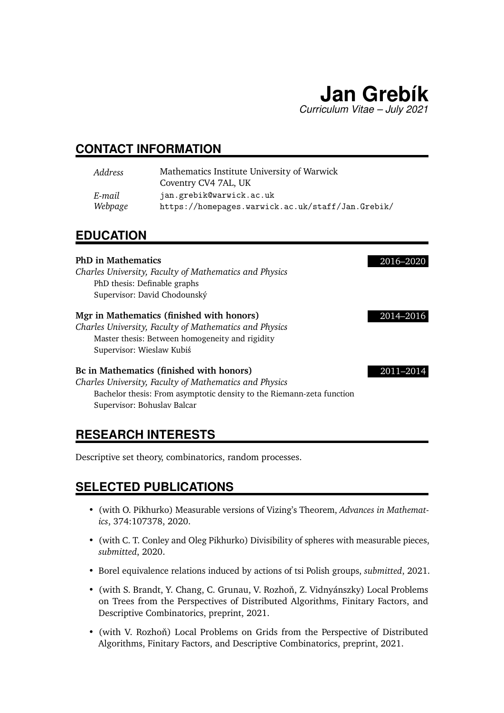

### **CONTACT INFORMATION**

| Address | Mathematics Institute University of Warwick<br>Coventry CV4 7AL, UK |
|---------|---------------------------------------------------------------------|
| E-mail  | jan.grebik@warwick.ac.uk                                            |
| Webpage | https://homepages.warwick.ac.uk/staff/Jan.Grebik/                   |

#### **EDUCATION**

#### **PhD in Mathematics** 2016–2020

*Charles University, Faculty of Mathematics and Physics* PhD thesis: Definable graphs Supervisor: David Chodounský

#### **Mgr in Mathematics (finished with honors)** 2014–2016

*Charles University, Faculty of Mathematics and Physics* Master thesis: Between homogeneity and rigidity Supervisor: Wieslaw Kubiś

#### **Bc in Mathematics (finished with honors)** 2011–2014

*Charles University, Faculty of Mathematics and Physics* Bachelor thesis: From asymptotic density to the Riemann-zeta function Supervisor: Bohuslav Balcar

### **RESEARCH INTERESTS**

Descriptive set theory, combinatorics, random processes.

### **SELECTED PUBLICATIONS**

- (with O. Pikhurko) Measurable versions of Vizing's Theorem, *Advances in Mathematics*, 374:107378, 2020.
- (with C. T. Conley and Oleg Pikhurko) Divisibility of spheres with measurable pieces, *submitted*, 2020.
- Borel equivalence relations induced by actions of tsi Polish groups, *submitted*, 2021.
- (with S. Brandt, Y. Chang, C. Grunau, V. Rozhoň, Z. Vidnyánszky) Local Problems on Trees from the Perspectives of Distributed Algorithms, Finitary Factors, and Descriptive Combinatorics, preprint, 2021.
- (with V. Rozhoň) Local Problems on Grids from the Perspective of Distributed Algorithms, Finitary Factors, and Descriptive Combinatorics, preprint, 2021.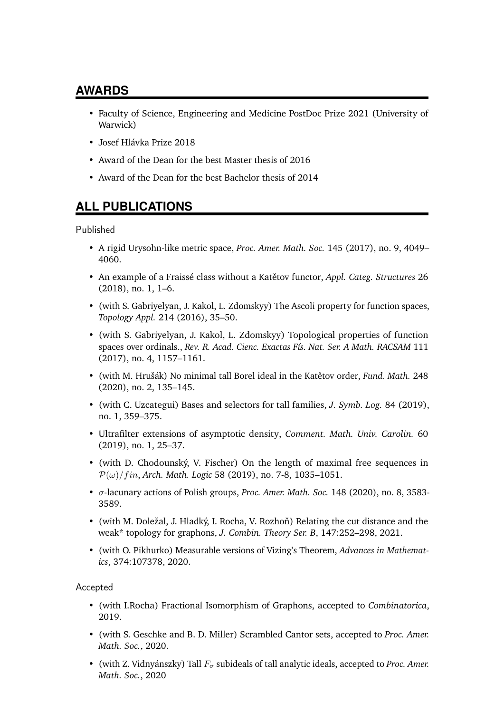### **AWARDS**

- Faculty of Science, Engineering and Medicine PostDoc Prize 2021 (University of Warwick)
- Josef Hlávka Prize 2018
- Award of the Dean for the best Master thesis of 2016
- Award of the Dean for the best Bachelor thesis of 2014

## **ALL PUBLICATIONS**

Published

- A rigid Urysohn-like metric space, *Proc. Amer. Math. Soc.* 145 (2017), no. 9, 4049– 4060.
- An example of a Fraissé class without a Katětov functor, *Appl. Categ. Structures* 26 (2018), no. 1, 1–6.
- (with S. Gabriyelyan, J. Kakol, L. Zdomskyy) The Ascoli property for function spaces, *Topology Appl.* 214 (2016), 35–50.
- (with S. Gabriyelyan, J. Kakol, L. Zdomskyy) Topological properties of function spaces over ordinals., *Rev. R. Acad. Cienc. Exactas Fís. Nat. Ser. A Math. RACSAM* 111 (2017), no. 4, 1157–1161.
- (with M. Hrušák) No minimal tall Borel ideal in the Katětov order, *Fund. Math.* 248 (2020), no. 2, 135–145.
- (with C. Uzcategui) Bases and selectors for tall families, *J. Symb. Log.* 84 (2019), no. 1, 359–375.
- Ultrafilter extensions of asymptotic density, *Comment. Math. Univ. Carolin.* 60 (2019), no. 1, 25–37.
- (with D. Chodounský, V. Fischer) On the length of maximal free sequences in  $P(\omega)/fin$ , *Arch. Math. Logic* 58 (2019), no. 7-8, 1035–1051.
- σ-lacunary actions of Polish groups, *Proc. Amer. Math. Soc.* 148 (2020), no. 8, 3583- 3589.
- (with M. Doležal, J. Hladký, I. Rocha, V. Rozhoň) Relating the cut distance and the weak\* topology for graphons, *J. Combin. Theory Ser. B*, 147:252–298, 2021.
- (with O. Pikhurko) Measurable versions of Vizing's Theorem, *Advances in Mathematics*, 374:107378, 2020.

Accepted

- (with I.Rocha) Fractional Isomorphism of Graphons, accepted to *Combinatorica*, 2019.
- (with S. Geschke and B. D. Miller) Scrambled Cantor sets, accepted to *Proc. Amer. Math. Soc.*, 2020.
- (with Z. Vidnyánszky) Tall  $F_{\sigma}$  subideals of tall analytic ideals, accepted to *Proc. Amer. Math. Soc.*, 2020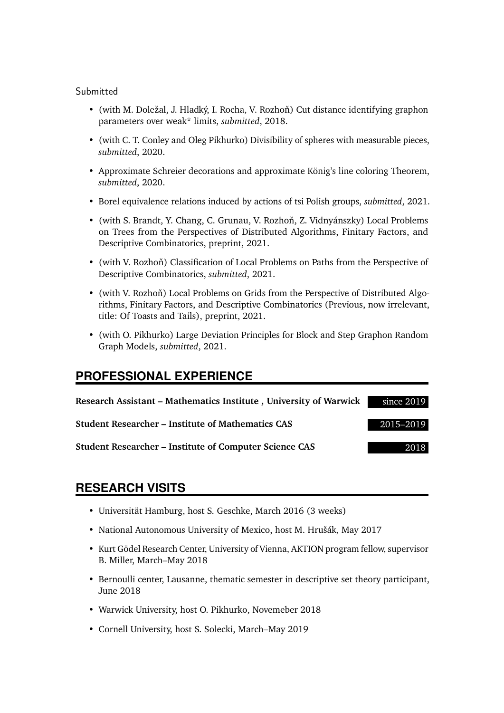#### Submitted

- (with M. Doležal, J. Hladký, I. Rocha, V. Rozhoň) Cut distance identifying graphon parameters over weak\* limits, *submitted*, 2018.
- (with C. T. Conley and Oleg Pikhurko) Divisibility of spheres with measurable pieces, *submitted*, 2020.
- Approximate Schreier decorations and approximate König's line coloring Theorem, *submitted*, 2020.
- Borel equivalence relations induced by actions of tsi Polish groups, *submitted*, 2021.
- (with S. Brandt, Y. Chang, C. Grunau, V. Rozhoň, Z. Vidnyánszky) Local Problems on Trees from the Perspectives of Distributed Algorithms, Finitary Factors, and Descriptive Combinatorics, preprint, 2021.
- (with V. Rozhoň) Classification of Local Problems on Paths from the Perspective of Descriptive Combinatorics, *submitted*, 2021.
- (with V. Rozhoň) Local Problems on Grids from the Perspective of Distributed Algorithms, Finitary Factors, and Descriptive Combinatorics (Previous, now irrelevant, title: Of Toasts and Tails), preprint, 2021.
- (with O. Pikhurko) Large Deviation Principles for Block and Step Graphon Random Graph Models, *submitted*, 2021.

## **PROFESSIONAL EXPERIENCE**

| Research Assistant – Mathematics Institute, University of Warwick | since 2019 |
|-------------------------------------------------------------------|------------|
| <b>Student Researcher – Institute of Mathematics CAS</b>          | 2015-2019  |
| <b>Student Researcher – Institute of Computer Science CAS</b>     | 2018       |

#### **RESEARCH VISITS**

- Universität Hamburg, host S. Geschke, March 2016 (3 weeks)
- National Autonomous University of Mexico, host M. Hrušák, May 2017
- Kurt Gödel Research Center, University of Vienna, AKTION program fellow, supervisor B. Miller, March–May 2018
- Bernoulli center, Lausanne, thematic semester in descriptive set theory participant, June 2018
- Warwick University, host O. Pikhurko, Novemeber 2018
- Cornell University, host S. Solecki, March–May 2019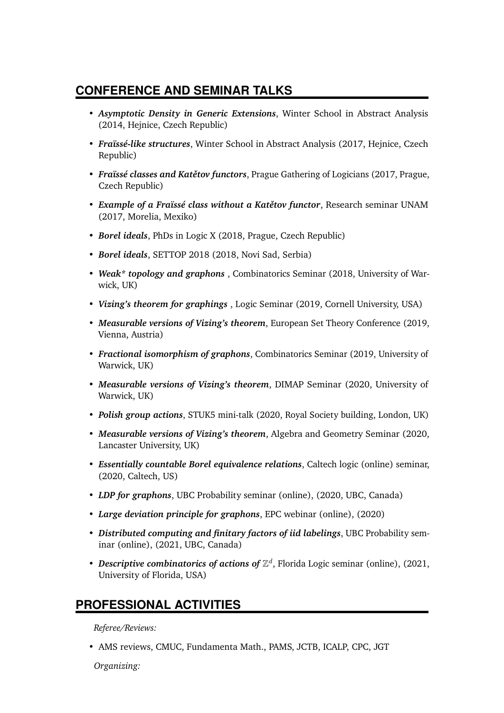## **CONFERENCE AND SEMINAR TALKS**

- *Asymptotic Density in Generic Extensions*, Winter School in Abstract Analysis (2014, Hejnice, Czech Republic)
- *Fraïssé-like structures*, Winter School in Abstract Analysis (2017, Hejnice, Czech Republic)
- *Fraïssé classes and Katětov functors*, Prague Gathering of Logicians (2017, Prague, Czech Republic)
- *Example of a Fraïssé class without a Katětov functor*, Research seminar UNAM (2017, Morelia, Mexiko)
- *Borel ideals*, PhDs in Logic X (2018, Prague, Czech Republic)
- *Borel ideals*, SETTOP 2018 (2018, Novi Sad, Serbia)
- *Weak\* topology and graphons* , Combinatorics Seminar (2018, University of Warwick, UK)
- *Vizing's theorem for graphings* , Logic Seminar (2019, Cornell University, USA)
- *Measurable versions of Vizing's theorem*, European Set Theory Conference (2019, Vienna, Austria)
- *Fractional isomorphism of graphons*, Combinatorics Seminar (2019, University of Warwick, UK)
- *Measurable versions of Vizing's theorem*, DIMAP Seminar (2020, University of Warwick, UK)
- *Polish group actions*, STUK5 mini-talk (2020, Royal Society building, London, UK)
- *Measurable versions of Vizing's theorem*, Algebra and Geometry Seminar (2020, Lancaster University, UK)
- *Essentially countable Borel equivalence relations*, Caltech logic (online) seminar, (2020, Caltech, US)
- *LDP for graphons*, UBC Probability seminar (online), (2020, UBC, Canada)
- *Large deviation principle for graphons*, EPC webinar (online), (2020)
- *Distributed computing and finitary factors of iid labelings*, UBC Probability seminar (online), (2021, UBC, Canada)
- Descriptive combinatorics of actions of  $\mathbb{Z}^d$ , Florida Logic seminar (online), (2021, University of Florida, USA)

# **PROFESSIONAL ACTIVITIES**

*Referee/Reviews:*

• AMS reviews, CMUC, Fundamenta Math., PAMS, JCTB, ICALP, CPC, JGT

*Organizing:*